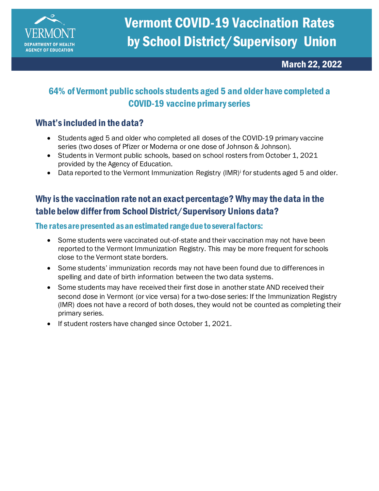

March 22, 2022

## 64% of Vermont public schools students aged 5 and older have completed a COVID-19 vaccine primary series

#### What's included in the data?

- Students aged 5 and older who completed all doses of the COVID-19 primary vaccine series (two doses of Pfizer or Moderna or one dose of Johnson & Johnson).
- Students in Vermont public schools, based on school rosters from October 1, 2021 provided by the Agency of Education.
- Data reported to the Vermont Immunization Registry (IMR)<sup>i</sup> for students aged 5 and older.

### Why is the vaccination rate not an exact percentage? Why may the data in the table below differ from School District/Supervisory Unions data?

#### The rates are presented as an estimated range due to several factors:

- Some students were vaccinated out-of-state and their vaccination may not have been reported to the Vermont Immunization Registry. This may be more frequent for schools close to the Vermont state borders.
- Some students' immunization records may not have been found due to differences in spelling and date of birth information between the two data systems.
- Some students may have received their first dose in another state AND received their second dose in Vermont (or vice versa) for a two-dose series: If the Immunization Registry (IMR) does not have a record of both doses, they would not be counted as completing their primary series.
- If student rosters have changed since October 1, 2021.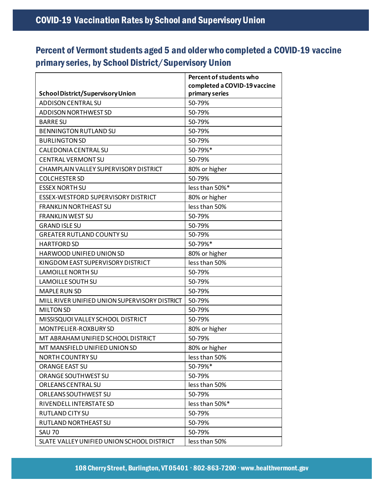# Percent of Vermont students aged 5 and older who completed a COVID-19 vaccine primary series, by School District/Supervisory Union

|                                               | Percent of students who      |
|-----------------------------------------------|------------------------------|
|                                               | completed a COVID-19 vaccine |
| <b>School District/Supervisory Union</b>      | primary series               |
| <b>ADDISON CENTRAL SU</b>                     | 50-79%                       |
| <b>ADDISON NORTHWEST SD</b>                   | 50-79%                       |
| <b>BARRE SU</b>                               | 50-79%                       |
| <b>BENNINGTON RUTLAND SU</b>                  | 50-79%                       |
| <b>BURLINGTON SD</b>                          | 50-79%                       |
| CALEDONIA CENTRAL SU                          | 50-79%*                      |
| <b>CENTRAL VERMONT SU</b>                     | 50-79%                       |
| CHAMPLAIN VALLEY SUPERVISORY DISTRICT         | 80% or higher                |
| <b>COLCHESTER SD</b>                          | 50-79%                       |
| <b>ESSEX NORTH SU</b>                         | less than 50%*               |
| ESSEX-WESTFORD SUPERVISORY DISTRICT           | 80% or higher                |
| <b>FRANKLIN NORTHEAST SU</b>                  | less than 50%                |
| <b>FRANKLIN WEST SU</b>                       | 50-79%                       |
| <b>GRAND ISLE SU</b>                          | 50-79%                       |
| <b>GREATER RUTLAND COUNTY SU</b>              | 50-79%                       |
| <b>HARTFORD SD</b>                            | 50-79%*                      |
| HARWOOD UNIFIED UNION SD                      | 80% or higher                |
| KINGDOM EAST SUPERVISORY DISTRICT             | less than 50%                |
| <b>LAMOILLE NORTH SU</b>                      | 50-79%                       |
| <b>LAMOILLE SOUTH SU</b>                      | 50-79%                       |
| <b>MAPLE RUN SD</b>                           | 50-79%                       |
| MILL RIVER UNIFIED UNION SUPERVISORY DISTRICT | 50-79%                       |
| <b>MILTON SD</b>                              | 50-79%                       |
| MISSISQUOI VALLEY SCHOOL DISTRICT             | 50-79%                       |
| MONTPELIER-ROXBURY SD                         | 80% or higher                |
| MT ABRAHAM UNIFIED SCHOOL DISTRICT            | 50-79%                       |
| MT MANSFIELD UNIFIED UNION SD                 | 80% or higher                |
| NORTH COUNTRY SU                              | less than 50%                |
| <b>ORANGE EAST SU</b>                         | 50-79%*                      |
| ORANGE SOUTHWEST SU                           | 50-79%                       |
| ORLEANS CENTRAL SU                            | less than 50%                |
| ORLEANS SOUTHWEST SU                          | 50-79%                       |
| RIVENDELL INTERSTATE SD                       | less than 50%*               |
| RUTLAND CITY SU                               | 50-79%                       |
| RUTLAND NORTHEAST SU                          | 50-79%                       |
| <b>SAU 70</b>                                 | 50-79%                       |
| SLATE VALLEY UNIFIED UNION SCHOOL DISTRICT    | less than 50%                |